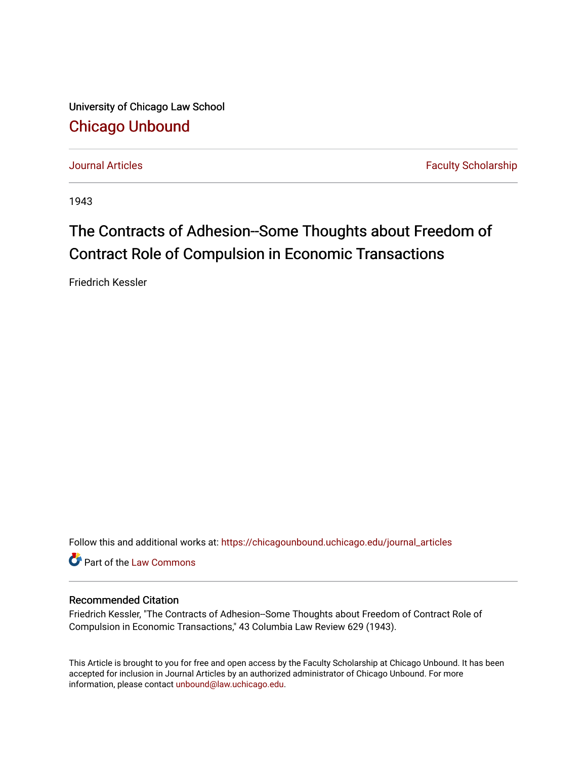University of Chicago Law School [Chicago Unbound](https://chicagounbound.uchicago.edu/)

[Journal Articles](https://chicagounbound.uchicago.edu/journal_articles) **Faculty Scholarship Journal Articles** 

1943

## The Contracts of Adhesion--Some Thoughts about Freedom of Contract Role of Compulsion in Economic Transactions

Friedrich Kessler

Follow this and additional works at: [https://chicagounbound.uchicago.edu/journal\\_articles](https://chicagounbound.uchicago.edu/journal_articles?utm_source=chicagounbound.uchicago.edu%2Fjournal_articles%2F7738&utm_medium=PDF&utm_campaign=PDFCoverPages) 

Part of the [Law Commons](http://network.bepress.com/hgg/discipline/578?utm_source=chicagounbound.uchicago.edu%2Fjournal_articles%2F7738&utm_medium=PDF&utm_campaign=PDFCoverPages)

## Recommended Citation

Friedrich Kessler, "The Contracts of Adhesion--Some Thoughts about Freedom of Contract Role of Compulsion in Economic Transactions," 43 Columbia Law Review 629 (1943).

This Article is brought to you for free and open access by the Faculty Scholarship at Chicago Unbound. It has been accepted for inclusion in Journal Articles by an authorized administrator of Chicago Unbound. For more information, please contact [unbound@law.uchicago.edu](mailto:unbound@law.uchicago.edu).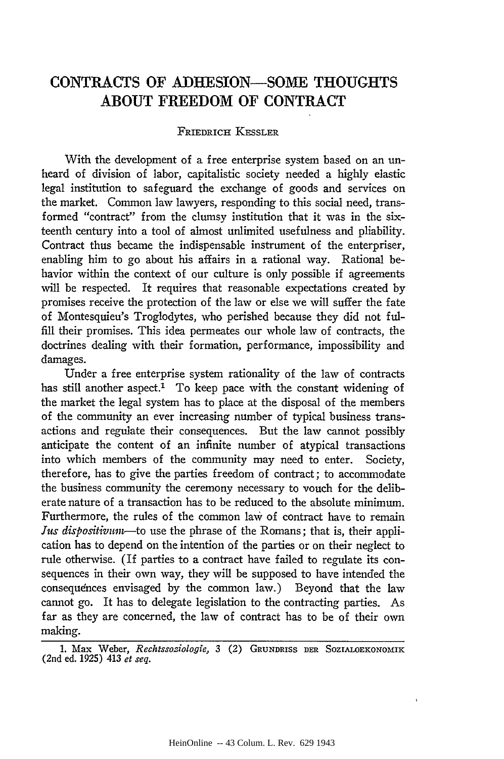## **CONTRACTS** OF **ADHESION-SOME THOUGHTS ABOUT** FREEDOM OF **CONTRACT**

## FRIEDRICH KESSLER

With the development of a free enterprise system based on an unheard of division of labor, capitalistic society needed a highly elastic legal institution to safeguard the exchange of goods and services on the market. Common law lawyers, responding to this social need, transformed "contract" from the clumsy institution that it was in the sixteenth century into a tool of almost unlimited usefulness and pliability. Contract thus became the indispensable instrument of the enterpriser, enabling him to go about his affairs in a rational way. Rational behavior within the context of our culture is only possible if agreements will be respected. It requires that reasonable expectations created by promises receive the protection of the law or else we will suffer the fate of Montesquieu's Troglodytes, who perished because they did not fulfill their promises. This idea permeates our whole law of contracts, the doctrines dealing with their formation, performance, impossibility and damages.

Under a free enterprise system rationality of the law of contracts has still another aspect.<sup>1</sup> To keep pace with the constant widening of the market the legal system has to place at the disposal of the members of the community an ever increasing number of typical business transactions and regulate their consequences. But the law cannot possibly anticipate the content of an infinite number of atypical transactions into which members of the community may need to enter. Society, therefore, has to give the parties freedom of contract; to accommodate the business community the ceremony necessary to vouch for the deliberate nature of a transaction has to be reduced to the absolute minimum. Furthermore, the rules of the common law of contract have to remain *Jus dispositivum--to* use the phrase of the Romans; that is, their application has to depend on the intention of the parties or on their neglect to rule otherwise. (If parties to a contract have failed to regulate its consequences in their own way, they will be supposed to have intended the consequences envisaged by the common law.) Beyond that the law cannot go. It has to delegate legislation to the contracting parties. As far as they are concerned, the law of contract has to be of their own making.

**<sup>1.</sup>** Max Weber, *Rechtssoziologie,* 3 (2) **GRUNDRISS** DER **SOZIALOEKONOMIK** (2nd ed. 1925) 413 *et scq.*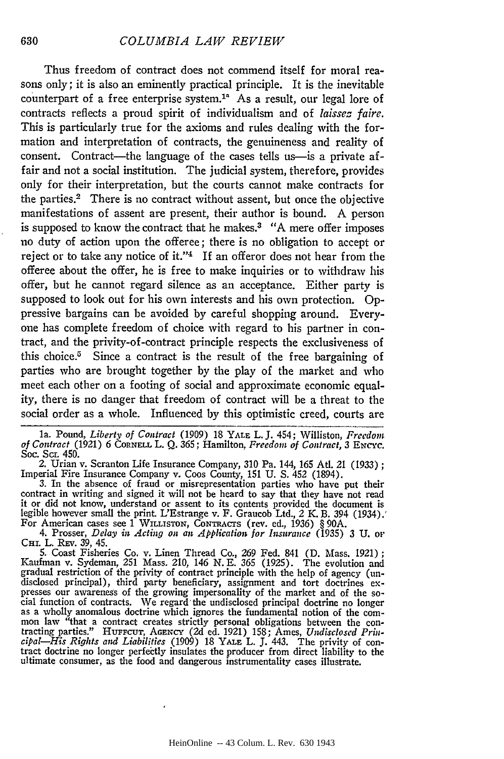Thus freedom of contract does not commend itself for moral reasons only; it is also an eminently practical principle. It is the inevitable counterpart of a free enterprise system.<sup>1ª</sup> As a result, our legal lore of contracts reflects a proud spirit of individualism and of *laissez* faire. This is particularly true for the axioms and rules dealing with the formation and interpretation of contracts, the genuineness and reality of consent. Contract—the language of the cases tells us—is a private affair and not a social institution. The judicial system, therefore, provides only for their interpretation, but the courts cannot make contracts for the parties.<sup>2</sup> There is no contract without assent, but once the objective manifestations of assent are present, their author is bound. A person is supposed to know the contract that he makes.<sup>3</sup> "A mere offer imposes no duty of action upon the offeree; there is no obligation to accept or reject or to take any notice of it."4 If an offeror does not hear from the offeree about the offer, he is free to make inquiries or to withdraw his offer, but he cannot regard silence as an acceptance. Either party is supposed to look out for his own interests and his own protection. Oppressive bargains can be avoided by careful shopping around. Everyone has complete freedom of choice with regard to his partner in contract, and the privity-of-contract principle respects the exclusiveness of this choice.5 Since a contract is the result of the free bargaining of parties who are brought together by the play of the market and who meet each other on a footing of social and approximate economic equality, there is no danger that freedom of contract will be a threat to the social order as a whole. Influenced by this optimistic creed, courts are

la. Pound, *Liberty of Contract* (1909) 18 YALE L. **J.** 454; Williston, *Freedom of Contract* (1921) 6 **CoRNEL.L** L. **Q.** 365; Hamilton, *Freedom of Contract,* **3** ENcvc. Soc. Scr. 450.

2. Urian v. Scranton Life Insurance Company, 310 Pa. 144, 165 Atl. 21 (1933); Imperial Fire Insurance Company v. Coos County, 151 U. S. 452 (1894).<br>3. In the absence of fraud or misrepresentation parties who have put their

contract in writing and signed it will not be heard to say that they have not read it or did not know, understand or assent to its contents provided the document is legible however small the print. L'Estrange v. F. Graucob Ltd., 2 K. B. 394 (1934).' For American cases see 1 **WILLISTON,** CONTACTS (rev. ed., 1936) § 90A.

4. Prosser, *Delay in Acting on an Application for Insurance* (1935) **3** U. **or** Cni. L. Ray. 39, 45.

5. Coast Fisheries Co. v. Linen Thread Co., 269 Fed. 841 (D. Mass. 1921);<br>Kaufman v. Sydeman, 251 Mass. 210, 146 N. E. 365 (1925). The evolution and<br>gradual restriction of the privity of contract principle with the help of disclosed principal), third party beneficiary, assignment and tort doctrines ex-<br>presses our awareness of the growing impersonality of the market and of the social function of contracts. We regard the undisclosed principal doctrine no longer<br>as a wholly anomalous doctrine which ignores the fundamental notion of the com-<br>mon law "that a contract creates strictly personal obligati tracting parties." HUFFCUT, AGENCY (2d ed. 1921) 158; Ames, Undisclosed Principal—His Rights and Liabilities (1909) 18 YALE L. J. 443. The privity of contract doctrine no longer perfectly insulates the producer from direct ultimate consumer, as the food and dangerous instrumentality cases illustrate.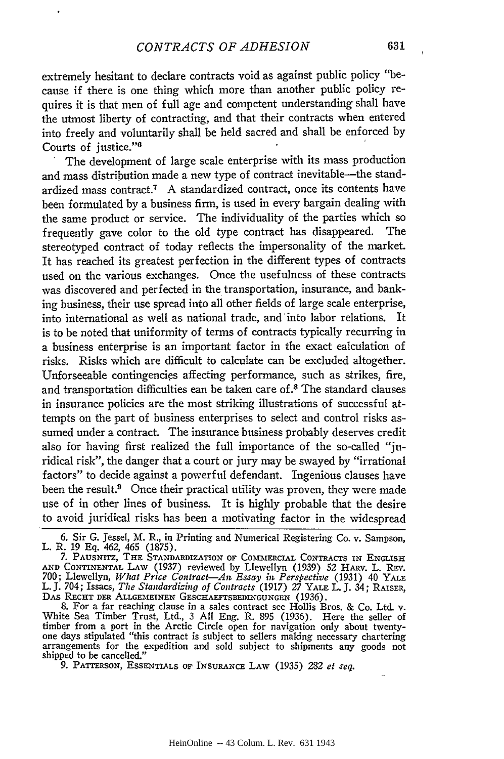extremely hesitant to declare contracts void as against public policy "because if there is one thing which more than another public policy requires it is that men of full age and competent understanding shall have the utmost liberty of contracting, and that their contracts when entered into freely and voluntarily shall be held sacred and shall be enforced by

Courts of justice."<sup>8</sup><br>The development of large scale enterprise with its mass production and mass distribution made a new type of contract inevitable-the standardized mass contract.7 **A** standardized contract, once its contents have been formulated by a business firm, is used in every bargain dealing with the same product or service. The individuality of the parties which so frequently gave color to the old type contract has disappeared. The stereotyped contract of today reflects the impersonality of the market. It has reached its greatest perfection in the different types of contracts used on the various exchanges. Once the usefulness of these contracts was discovered and perfected in the transportation, insurance, and banking business, their use spread into all other fields of large scale enterprise, into international as well as national trade, and'into labor relations. It is to be noted that uniformity of terms of contracts typically recurring in a business enterprise is an important factor in the exact calculation of risks. Risks which are difficult to calculate can be excluded altogether. Unforseeable contingencies affecting performance, such as strikes, fire, and transportation difficulties can be taken care of.8 The standard clauses in insurance policies are the most striking illustrations of successful attempts on the part of business enterprises to select and control risks assumed under a contract. The insurance business probably deserves credit also for having first realized the full importance of the so-called "juridical risk", the danger that a court or jury may be swayed by "irrational factors" to decide against a powerful defendant. Ingenious clauses have been the result.<sup>9</sup> Once their practical utility was proven, they were made use of in other lines of business. It is highly probable that the desire to avoid juridical risks has been a motivating factor in the widespread

<sup>6.</sup> Sir G. Jessel, M. R., in Printing and Numerical Registering Co. v. Sampson, L. R. 19 Eq. 462, 465 (1875).

<sup>7.</sup> PAUSNITZ, THE STANDARDIZATION OF COMMERCIAL CONTRACTS IN ENGLISH AND CONTINENTAL LAW (1937) reviewed by Llewellyn (1939) 52 HARV. L. REV, 700; Llewellyn, *What Price Contract—An Essay in Perspective* (1931) 40 YALE L. **J.** 704; Issacs, *The Standardizing of* Contracts (1917) 27 YALE L. **J.** 34; RAISER, DAs RECET **DER** ALLGEMEINEN GESCHAEFTSBEDINGUNGEN **(1936).** 8. For a far reaching clause in a sales contract see Hollis Bros. & Co. Ltd. v.

White Sea Timber Trust, Ltd., 3 All Eng. R. 895 (1936). Here the seller of timber from a port in the Arctic Circle open for navigation only about twenty- one days stipulated "this contract is subject to sellers making necessary chartering arrangements for the expedition and sold subject to shipments any goods not shipped to be cancelled."

<sup>9.</sup> PATTERSON, ESSENTIALS OF INSURANCE LAW (1935) 282 *et seq.*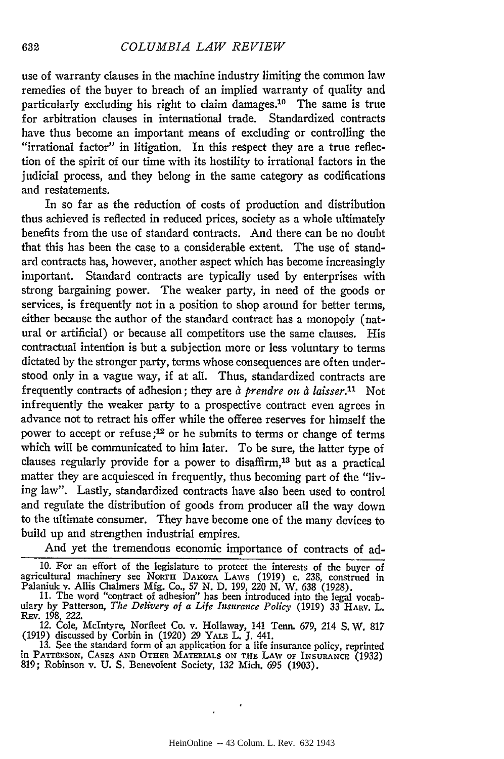use of warranty clauses in the machine industry limiting the common law remedies of the buyer to breach of an implied warranty of quality and particularly excluding his right to claim damages.<sup>10</sup> The same is true for arbitration clauses in international trade. Standardized contracts have thus become an important means of excluding or controlling the "irrational factor" in litigation. In this respect they are a true reflection of the spirit of our time with its hostility to irrational factors in the judicial process, and they belong in the same category as codifications and restatements.

In so far as the reduction of costs of production and distribution thus achieved is reflected in reduced prices, society as a whole ultimately benefits from the use of standard contracts. And there can be no doubt that this has been the case to a considerable extent. The use of standard contracts has, however, another aspect which has become increasingly important. Standard contracts are typically used by enterprises with strong bargaining power. The weaker party, in need of the goods or services, is frequently not in a position to shop around for better terms, either because the author of the standard contract has a monopoly (natural or artificial) or because all competitors use the same clauses. His contractual intention is but a subjection more or less voluntary to terms dictated by the stronger party, terms whose consequences are often understood only in a vague way, if at all. Thus, standardized contracts are frequently contracts of adhesion; they are *à prendre ou à laisser*.<sup>11</sup> Not infrequently the weaker party to a prospective contract even agrees in advance not to retract his offer while the offeree reserves for himself the power to accept or refuse **;12** or he submits to terms or change of terms which will be communicated to him later. To be sure, the latter type of clauses regularly provide for a power to disaffirm,<sup>13</sup> but as a practical matter they are acquiesced in frequently, thus becoming part of the "living law". Lastly, standardized contracts have also been used to control and regulate the distribution of goods from producer all the way down to the ultimate consumer. They have become one of the many devices to build up and strengthen industrial empires.

And yet the tremendous economic importance of contracts of ad-

**<sup>10.</sup>** For an effort of the legislature to protect the interests of the buyer of agricultural machinery see NORTH **DAKOTA** LAWS (1919) c. 238, construed in Palaniuk v. Allis Chalmers Mfg. Co., **57 N. D.** 199, 220 **N.** W. **638** (1928). **11.** The word "contract of adhesion" has been introduced into the legal vocab-

ulary by Patterson, *The Delivery of a Life Insurance Policy* (1919) 33 HARv. L. REV. 198, 222. 12. Cole, McIntyre, Norfleet Co. v. Hollaway, 141 Tenn. 679, 214 S. W. 817

<sup>(1919)</sup> discussed by Corbin in (1920) 29 YALE L. **J.** 441.

<sup>13.</sup> See the standard form of an application for a life insurance policy, reprinted<br>in PATTERSON, CASES AND OTHER MATERIALS ON THE LAW OF INSURANCE (1932)<br>819; Robinson v. U. S. Benevolent Society, 132 Mich. 695 (1903).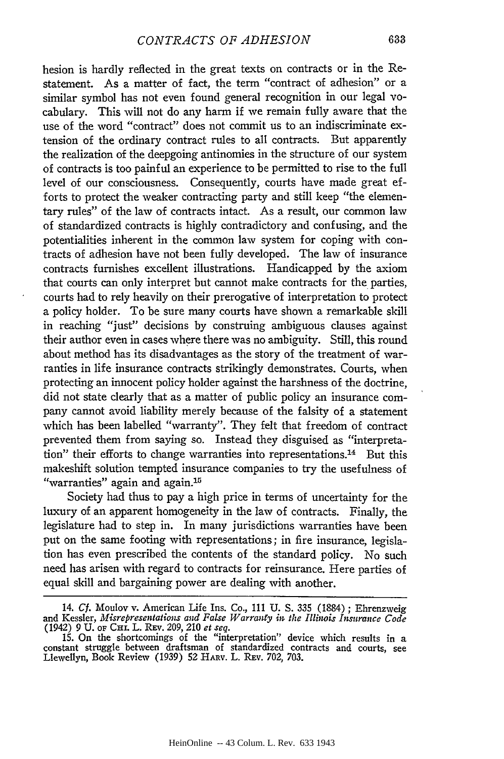hesion is hardly reflected in the great texts on contracts or in the Restatement. As a matter of fact, the term "contract of adhesion" or a similar symbol has not even found general recognition in our legal vocabulary. This will not do any harm if we remain fully aware that the use of the word "contract" does not commit us to an indiscriminate extension of the ordinary contract rules to all contracts. But apparently the realization of the deepgoing antinomies in the structure of our system of contracts is too painful an experience to be permitted to rise to the full level of our consciousness. Consequently, courts have made great efforts to protect the weaker contracting party and still keep "the elementary rules" of the law of contracts intact. As a result, our common law of standardized contracts is highly contradictory and confusing, and the potentialities inherent in the common law system for coping with contracts of adhesion have not been fully developed. The law of insurance contracts furnishes excellent illustrations. Handicapped by the axiom that courts can only interpret but cannot make contracts for the parties, courts had to rely heavily on their prerogative of interpretation to protect a policy holder. To be sure many courts have shown a remarkable skill in reaching "just" decisions by construing ambiguous clauses against their author even in cases where there was no ambiguity. Still, this round about method has its disadvantages as the story of the treatment of warranties in life insurance contracts strikingly demonstrates. Courts, when protecting an innocent policy holder against the harshness of the doctrine, did not state clearly that as a matter of public policy an insurance company cannot avoid liability merely because of the falsity of a statement which has been labelled "warranty". They felt that freedom of contract prevented them from saying so. Instead they disguised as "interpretation" their efforts to change warranties into representations. 14 But this makeshift solution tempted insurance companies to try the usefulness of "warranties" again and again.<sup>15</sup>

Society had thus to pay a high price in terms of uncertainty for the luxury of an apparent homogeneity in the law of contracts. Finally, the legislature had to step in. In many jurisdictions warranties have been put on the same footing with representations; in fire insurance, legislation has even prescribed the contents of the standard policy. No such need has arisen with regard to contracts for reinsurance. Here parties of equal skill and bargaining power are dealing with another.

<sup>14.</sup> *Cf.* Moulov v. American Life Ins. Co., 111 U. S. 335 (1884) ; Ehrenzweig and Kessler, *Misrepresentations and False Warranty in the Illinois Insurance Code*<br>(1942) 9 U. of CHI. L. REv. 209, 210 *et seq.* 

<sup>15.</sup> On the shortcomings of the "interpretation" device which results in a constant struggle between draftsman of standardized contracts and courts, see Llewellyn, Book Review (1939) 52 HARv. L. REv. 702, 703.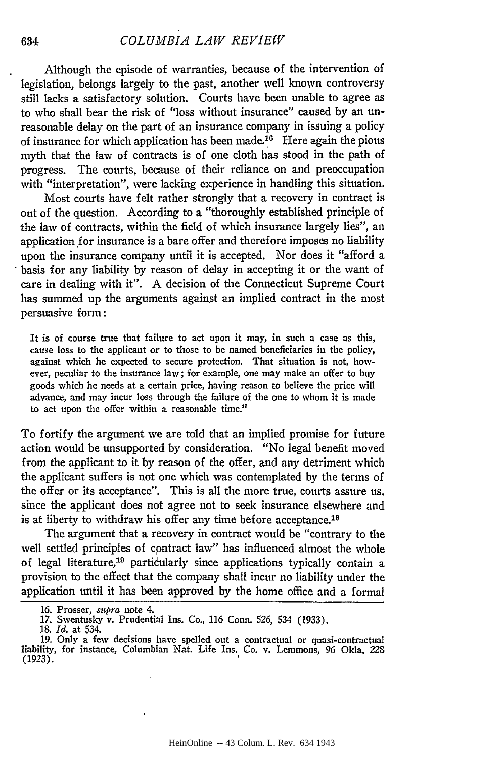Although the episode of warranties, because of the intervention of legislation, belongs largely to the past, another well known controversy still lacks a satisfactory solution. Courts have been unable to agree as to who shall bear the risk of "loss without insurance" caused by an unreasonable delay on the part of an insurance company in issuing a policy of insurance for which application has been made.<sup>16</sup> Here again the pious myth that the law of contracts is of one cloth has stood in the path of progress. The courts, because of their reliance on and preoccupation with "interpretation", were lacking experience in handling this situation.

Most courts have felt rather strongly that a recovery in contract is out of the question. According to a "thoroughly established principle of the law of contracts, within the field of which insurance largely lies", an application for insurance is a bare offer and therefore imposes no liability upon the insurance company until it is accepted. Nor does it "afford a basis for any liability by reason of delay in accepting it or the want of care in dealing with it". A decision of the Connecticut Supreme Court has summed up the arguments against an implied contract in the most persuasive form:

It is of course true that failure to act upon it may, in such a case as this, cause loss to the applicant or to those to be named beneficiaries in the policy, against which he expected to secure protection. That situation is not, however, peculiar to the insurance law; for example, one may make an offer to buy goods which he needs at a certain price, having reason to believe the price will advance, and may incur loss through the failure of the one to whom it is made to act upon the offer within a reasonable time.<sup>17</sup>

To fortify the argument we are told that an implied promise for future action would be unsupported by consideration. "No legal benefit moved from the applicant to it by reason of the offer, and any detriment which the applicant suffers is not one which was contemplated by the terms of the offer or its acceptance". This is all the more true, courts assure us. since the applicant does not agree not to seek insurance elsewhere and is at liberty to withdraw his offer any time before acceptance.<sup>18</sup>

The argument that a recovery in contract would be "contrary to the well settled principles of contract law" has influenced almost the whole of legal literature,19 particularly since applications typically contain a provision to the effect that the company shall incur no liability under the application until it has been approved by the home office and a formal

<sup>16.</sup> Prosser, *supra* note 4.

<sup>17.</sup> Swentusky v. Prudential Ins. Co., 116 Conn. 526, 534 (1933).

<sup>18.</sup> *Id.* at 534.

<sup>19.</sup> Only a few decisions have spelled out a contractual or quasi-contractual liability, for instance, Columbian Nat. Life Ins. Co. v. Lemmons, 96 Okla. 228 (1923).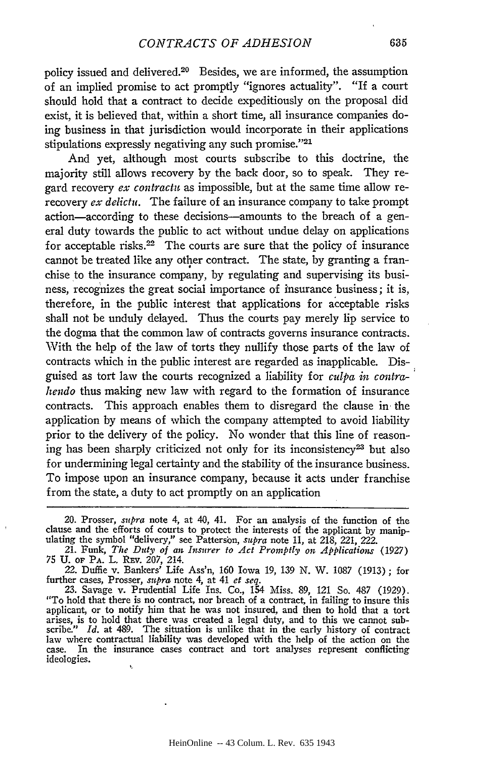policy issued and delivered.<sup>20</sup> Besides, we are informed, the assumption of an implied promise to act promptly "ignores actuality". "If a court should hold that a contract to decide expeditiously on the proposal did exist, it is believed that, within a short time, all insurance companies doing business in that jurisdiction would incorporate in their applications stipulations expressly negativing any such promise."<sup>21</sup>

And yet, although most courts subscribe to this doctrine, the majority still allows recovery by the back door, so to speak. They regard recovery ex contractu as impossible, but at the same time allow rerecovery ex *delictu*. The failure of an insurance company to take prompt action-according to these decisions-amounts to the breach of a general duty towards the public to act without undue delay on applications for acceptable risks.<sup>22</sup> The courts are sure that the policy of insurance cannot be treated like any other contract. The state, by granting a franchise to the insurance company, by regulating and supervising its business, recognizes the great social importance of insurance business; it is, therefore, in the public interest that applications for acceptable risks shall not be unduly delayed. Thus the courts pay merely lip service to the dogma that the common law of contracts governs insurance contracts. With the help of the law of torts they nullify those parts of the law of contracts which in the public interest are regarded as inapplicable. Disguised as tort law the courts recognized a liability for *culpa in contrahendo* thus making new law with regard to the formation of insurance contracts. This approach enables them to disregard the clause in- the application by means of which the company attempted to avoid liability prior to the delivery of the policy. No wonder that this line of reasoning has been sharply criticized not only for its inconsistency<sup>23</sup> but also for undermining legal certainty and the stability of the insurance business. To impose upon an insurance company, because it acts under franchise from the state, a duty to act promptly on an application

<sup>20.</sup> Prosser, *sufpra* note 4, at 40, 41. For an analysis of the function of the clause and the efforts of courts to protect the interests of the applicant by manip- ulating the symbol "delivery," see Patterson, *supra* note **11,** at 218, 221, 222. 21. Funk, *The Duty of an Insurer to Act Promptly on Applications* (1927)

<sup>75</sup> **U.** OF PA. L. REv. 207, 214. 22. Duffie v. Bankers' Life Ass'n, 160 Iowa 19, 139 N. W. 1087 (1913) ; for

further cases, Prosser, *supra* note 4, at 41 *et seq.*

**<sup>23.</sup>** Savage v. Prudential Life Ins. Co., 154 Miss. 89, 121 So. **487** (1929). "To hold that there is no contract, nor breach of a contract, in failing to insure this applicant, or to notify him that he was not insured, and then to hold that a tort arises, is to hold that there was created a legal duty, and to this we cannot subscribe." *Id.* at 489. The situation is unlike that in the early history of contract law where contractual liability was developed with the help of the action on the case. In the insurance cases contract and tort analyses represent conflicting ideologies.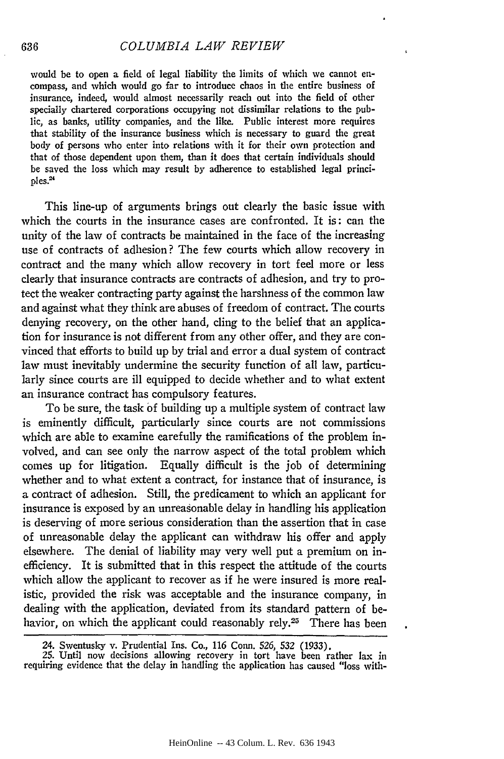would be to open a field of legal liability the limits of which we cannot encompass, and which would go far to introduce chaos in the entire business of insurance, indeed, would almost necessarily reach out into the field of other specially chartered corporations occupying not dissimilar relations to the public, as banks, utility companies, and the like. Public interest more requires that stability of the insurance business which is necessary to guard the great body of persons who enter into relations with it for their own protection and that of those dependent upon them, than it does that certain individuals should be saved the loss which may result by adherence to established legal principles.'

This line-up of arguments brings out clearly the basic issue with which the courts in the insurance cases are confronted. It is: can the unity of the law of contracts be maintained in the face of the increasing use of contracts of adhesion? The few courts which allow recovery in contract and the many which allow recovery in tort feel more or less clearly that insurance contracts are contracts of adhesion, and try to protect the weaker contracting party against the harshness of the common law and against what they think are abuses of freedom of contract. The courts denying recovery, on the other hand, cling to the belief that an application for insurance is not different from any other offer, and they are convinced that efforts to build up by trial and error a dual system of contract law must inevitably undermine the security function of all law, particularly since courts are ill equipped to decide whether and to what extent an insurance contract has compulsory features.

To be sure, the task of building up a multiple system of contract law is eminently difficult, particularly since courts are not commissions which are able to examine carefully the ramifications of the problem involved, and can see only the narrow aspect of the total problem which comes up for litigation. Equally difficult is the job of determining whether and to what extent a contract, for instance that of insurance, is a contract of adhesion. Still, the predicament to which an applicant for insurance is exposed by an unreasonable delay in handling his application is deserving of more serious consideration than the assertion that in case of unreasonable delay the applicant can withdraw his offer and apply elsewhere. The denial of liability may very well put a premium on inefficiency. It is submitted that in this respect the attitude of the courts which allow the applicant to recover as if he were insured is more realistic, provided the risk was acceptable and the insurance company, in dealing with the application, deviated from its standard pattern of behavior, on which the applicant could reasonably rely.<sup>25</sup> There has been

25. Until now decisions allowing recovery in tort have been rather lax in requiring evidence that the delay in handling the application has caused "loss with-

<sup>24.</sup> Swentusky v. Prudential Ins. Co., **116** Conn. 526, 532 **(1933).**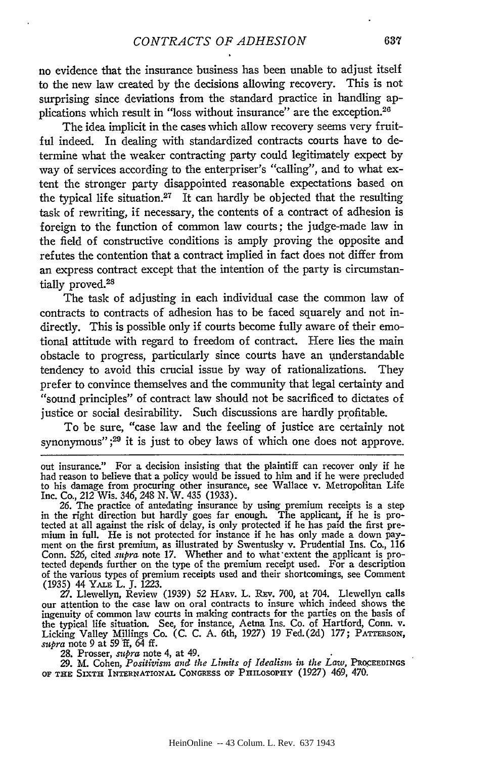no evidence that the insurance business has been unable to adjust itself to the new law created **by** the decisions allowing recovery. This is not surprising since deviations from the standard practice in handling applications which result in "loss without insurance" are the exception.<sup>26</sup>

The idea implicit in the cases which allow recovery seems very fruitful indeed. In dealing with standardized contracts courts have to determine what the weaker contracting party could legitimately expect **by** way of services according to the enterpriser's "calling", and to what extent the stronger party disappointed reasonable expectations based on the typical life situation.<sup>27</sup> It can hardly be objected that the resulting task of rewriting, if necessary, the contents of a contract of adhesion is foreign to the function of common law courts; the judge-made law in the field of constructive conditions is amply proving the opposite and refutes the contention that a contract implied in fact does not differ from an express contract except that the intention of the party is circumstantially proved.<sup>28</sup>

The task of adjusting in each individual case the common law of contracts to contracts of adhesion has to be faced squarely and not indirectly. This is possible only if courts become fully aware of their emotional attitude with regard to freedom of contract. Here lies the main obstacle to progress, particularly since courts have an understandable tendency to avoid this crucial issue **by** way of rationalizations. They prefer to convince themselves and the community that legal certainty and "sound principles" of contract law should not be sacrificed to dictates of justice or social desirability. Such discussions are hardly profitable.

To be sure, "case law and the feeling of justice are certainly not synonymous";<sup>29</sup> it is just to obey laws of which one does not approve.

out insurance." For a decision insisting that the plaintiff can recover only if he had reason to believe that a policy would be issued to him and if he were precluded to his damage from procuring other insurance, see Wallace v. Metropolitan Life Inc. Co., 212 Wis. 346, 248 **N.** W. 435 (1933). **26.** The practice of antedating insurance **by** using premium receipts is a step

in the right direction but hardly goes far enough. The applicant, if he is protected at all against the risk of delay, is only protected if he has paid the first pre-mium in full. He is not protected for instance if he has only made a down payment on the first premium, as illustrated by Swentusky v. Prudential Ins. Co., 116 Conn. 526, cited *supra* note **17.** Whether and to what'extent the applicant is protected depends further on the type of the premium receipt used. For a description of the various types of premium receipts used and their shortcomings, see Comment (1935) 44 YAIE L. **J.** 1223.

27. Llewellyn, Review (1939) 52 HARv. L. REv. 700, at 704. Llewellyn calls our attention to the case law on oral contracts to insure which indeed shows the ingenuity of common law courts in making contracts for the parties on the basis of the typical life situation. See, for instance, Aetna Ins. Co. of Hartford, Conn. v. Licking Valley Millings Co. (C. C. A. 6th, 1927) 19 Fed. (2d) 177; PATERSON,  $\frac{1}{\sqrt{3}}$  at 59 ff,  $64$  ff.

**28.** Prosser, *mpra* note 4, at 49.

**29.** M. Cohen, *Positivism and the Limits of Idealism in the Law,* PROCEEDINGS OF **THE** SIXTH INTERNATIONAL CONGRESS OF PHILOSOPHY (1927) 469, 470.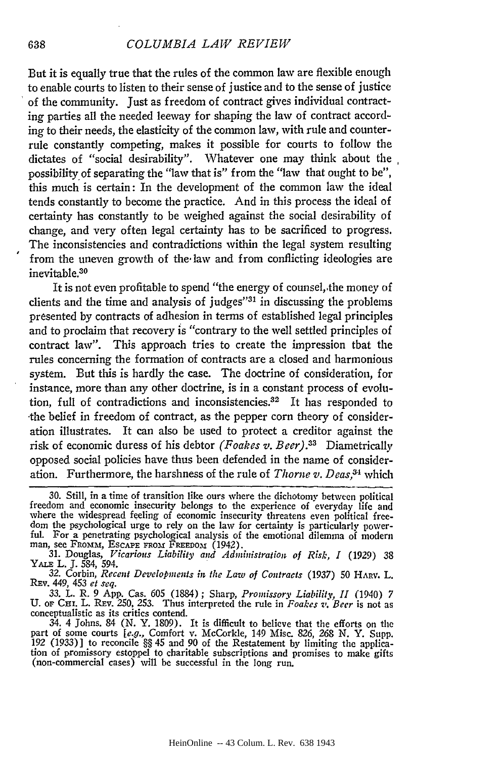But it is equally true that the rules of the common law are flexible enough to enable courts to listen to their sense of justice and to the sense of justice of the community. Just as freedom of contract gives individual contracting parties all the needed leeway for shaping the law of contract according to their needs, the elasticity of the common law, with rule and counterrule constantly competing, makes it possible for courts to follow the dictates of "social desirability". Whatever one may think about the possibility of separating the "law that is" from the "law that ought to be", this much is certain: In the development of the common law the ideal tends constantly to become the practice. And in this process the ideal of certainty has constantly to be weighed against the social desirability of change, and very often legal certainty has to be sacrificed to progress. The inconsistencies and contradictions within the legal system resulting from the uneven growth of the' law and from conflicting ideologies are inevitable.30

It is not even profitable to spend "the energy of counsel, the money of clients and the time and analysis of judges<sup> $31$ </sup> in discussing the problems presented by contracts of adhesion in terms of established legal principles and to proclaim that recovery is "contrary to the well settled principles of contract law". This approach tries to create the impression that the rules concerning the formation of contracts are a closed and harmonious system. But this is hardly the case. The doctrine of consideration, for instance, more than any other doctrine, is in a constant process of evolution, full of contradictions and inconsistencies. $32$  It has responded to -the belief in freedom of contract, as the pepper corn theory of consideration illustrates. It can also be used to protect a creditor against the risk of economic duress of his debtor *(Foakes v. Beer).33* Diametrically opposed social policies have thus been defended in the name of consideration. Furthermore, the harshness of the rule of *Thorne v. Deas*,<sup>34</sup> which

<sup>30.</sup> Still, in a time of transition like ours where the dichotomy between political freedom and economic insecurity belongs to the experience of everyday life and where the widespread feeling of economic insecurity threatens even political freedom the psychological urge to rely on the law for certainty is particularly powerful. For a penetrating psychological analysis of the emotional dilemma of modern<br>man, see FROMM, ESCAPE FROM FREEDOM (1942).<br>31. Douglas, *Vicarious Liability and Administration of Risk, 1* (1929) 38

YALE L. J. 584, 594. **32.** Corbin, *Recent Developments in the Law of Contracts* (1937) 50 HARV. L.

<sup>32.</sup> Corbin, *Recent Developments in the Law of Contracts* (1937) 50 HARV. L. REv. 449, 453 *et seq.* 

<sup>33.</sup> L. R. 9 App. Cas. 605 (1884); Sharp, *Promissory Liability, II* (1940) 7 U. or CH. L. REv. 250, 253. Thus interpreted the rule in *Foakes v. Beer* is not as conceptualistic as its critics contend.

<sup>34. 4</sup> Johns. 84 (N. Y. 1809). It is difficult to believe that the efforts on the part of some courts *[e.g.,* Comfort v. McCorkle, 149 Misc. 826, *268* N. Y. Supp. 192 (1933)] to reconcile §§ 45 and 90 of the Restatement by limiting the application of promissory estoppel to charitable subscriptions and promises to make gifts (non-commercial cases) will be successful in the long run.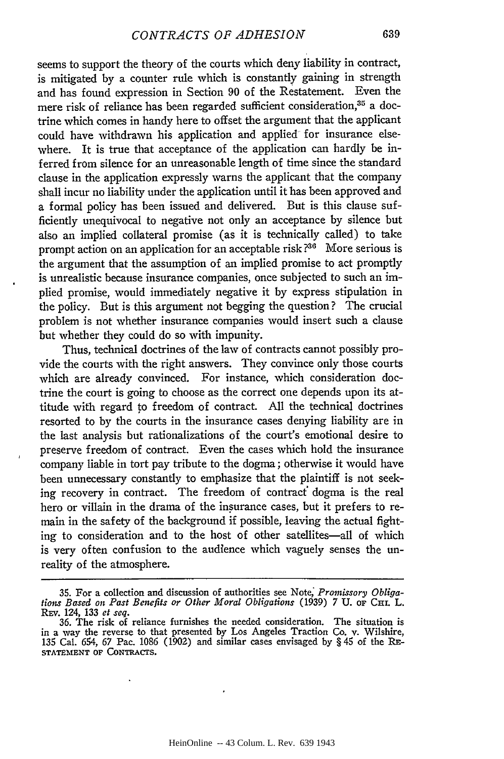seems to support the theory of the courts which deny liability in contract, is mitigated by a counter rule which is constantly gaining in strength and has found expression in Section **90** of the Restatement. Even the mere risk of reliance has been regarded sufficient consideration,<sup>35</sup> a doctrine which comes in handy here to offset the argument that the applicant could have withdrawn his application and applied for insurance elsewhere. It is true that acceptance of the application can hardly be inferred from silence for an unreasonable length of time since the standard clause in the application expressly warns the applicant that the company shall incur no liability under the application until it has been approved and a formal policy has been issued and delivered. But is this clause sufficiently unequivocal to negative not only an acceptance by silence but also an implied collateral promise (as it is technically called) to take prompt action on an application for an acceptable risk **?36** More serious is the argument that the assumption of an implied promise to act promptly is unrealistic because insurance companies, once subjected to such an implied promise, would immediately negative it by express stipulation in the policy. But is this argument not begging the question? The crucial problem is not whether insurance companies would insert such a clause but whether they could do so with impunity.

Thus, technical doctrines of the law of contracts cannot possibly provide the courts with the right answers. They convince only those courts which are already convinced. For instance, which consideration doctrine the court is going to choose as the correct one depends upon its attitude with regard **to** freedom of contract. **All** the technical doctrines resorted to by the courts in the insurance cases denying liability are in the last analysis but rationalizations of the court's emotional desire to preserve freedom of contract. Even the cases which hold the insurance company liable in tort pay tribute to the dogma; otherwise it would have been unnecessary constantly to emphasize that the plaintiff is not seeking recovery in contract. The freedom of contract' dogma is the real hero or villain in the drama of the insurance cases, but it prefers to remain in the safety of the background if possible, leaving the actual fighting to consideration and to the host of other satellites-all of which is very often confusion to the audience which vaguely senses the unreality of the atmosphere.

**<sup>35.</sup>** For a collection and discussion of authorities see Note; *Promissory Obliga-tions Based on Past Benefits or Other Moral Obligations* (1939) 7 **U.** OF **CL** L. **REV.** 124, 133 *et seq.* **36.** The risk of reliance furnishes the needed consideration. The situation is

in a way the reverse to that presented by Los Angeles Traction Co. v. Wilshire, 135 Cal. 654, 67 Pac. 1086 (1902) and similar cases envisaged by § 45 of the **RE- STATEIAENT** OF CoNTRAcrs.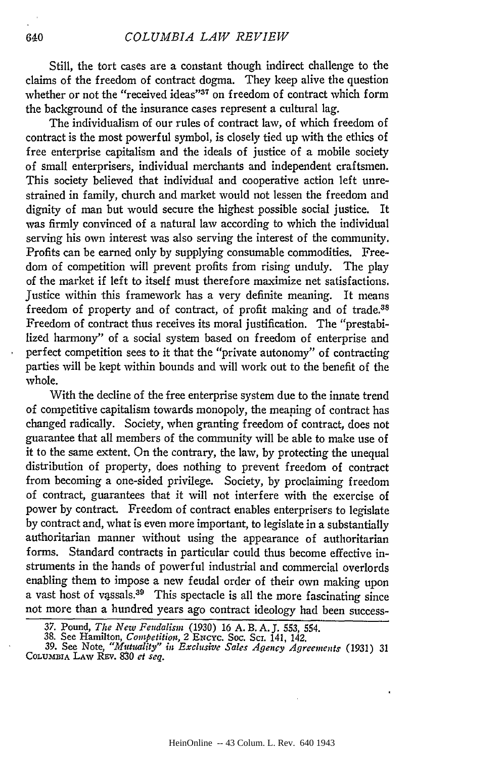Still, the tort cases are a constant though indirect challenge to the claims of the freedom of contract dogma. They keep alive the question whether or not the "received ideas"<sup>37</sup> on freedom of contract which form the background of the insurance cases represent a cultural lag.

The individualism of our rules of contract law, of which freedom of contract is the most powerful symbol, is closely tied up with the ethics of free enterprise capitalism and the ideals of justice of a mobile society of small enterprisers, individual merchants and independent craftsmen. This society believed that individual and cooperative action left unrestrained in family, church and market would not lessen the freedom and dignity of man but would secure the highest possible social justice. It was firmly convinced of a natural law according to which the individual serving his own interest was also serving the interest of the community. Profits can be earned only by supplying consumable commodities. Freedom of competition will prevent profits from rising unduly. The play of the market if left to itself must therefore maximize net satisfactions. Justice within this framework has a very definite meaning. It means freedom of property and of contract, of profit making and of trade.<sup>38</sup> Freedom of contract thus receives its moral justification. The "prestabilized harmony" of a social system based on freedom of enterprise and perfect competition sees to it that the "private autonomy" of contracting parties will be kept within bounds and will work out to the benefit of the whole.

With the decline of the free enterprise system due to the innate trend of competitive capitalism towards monopoly, the meaning of contract has changed radically. Society, when granting freedom of contract, does not guarantee that all members of the community will be able to make use of it to the same extent. On the contrary, the law, by protecting the unequal distribution of property, does nothing to prevent freedom of contract from becoming a one-sided privilege. Society, by proclaiming freedom of contract, guarantees that it will not interfere with the exercise of power by contract. Freedom of contract enables enterprisers to legislate by contract and, what is even more important, to legislate in a substantially authoritarian manner without using the appearance of authoritarian forms. Standard contracts in particular could thus become effective instruments in the hands of powerful industrial and commercial overlords enabling them to impose a new feudal order of their own making upon a vast host of vassals.<sup>39</sup> This spectacle is all the more fascinating since not more than a hundred years ago contract ideology had been success-

<sup>37.</sup> Pound, *The New Feudalism* (1930) 16 A. B. **A. J.** 553, *554.*

**<sup>38.</sup>** See Hamilton, *Competition,* 2 **ENCYc.** Soc. Sci. 141, 142. **39.** See Note, *"Mutuality" in Exclusive Sales Agency Agreements* (1931) 31

COLUMBIA LAw **Rv. 830** *et seq.*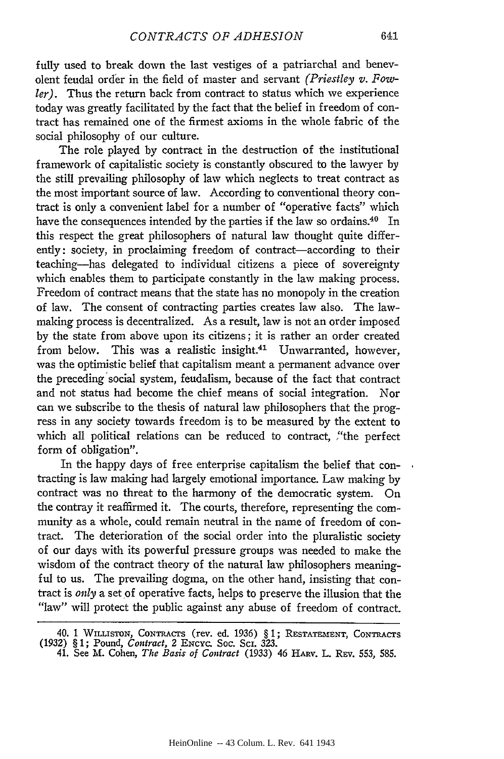fully used to break down the last vestiges of a patriarchal and benevolent feudal order in the field of master and servant *(Priestley v. Fowler).* Thus the return back from contract to status which we experience today was greatly facilitated by the fact that the belief in freedom of contract has remained one of the firmest axioms in the whole fabric of the social philosophy of our culture.

The role played by contract in the destruction of the institutional framework of capitalistic society is constantly obscured to the lawyer by the still prevailing philosophy of law which neglects to treat contract as the most important source of law. According to conventional theory contract is only a convenient label for a number of "operative facts" which have the consequences intended by the parties if the law so ordains.<sup>40</sup> In this respect the great philosophers of natural law thought quite differently: society, in proclaiming freedom of contract—according to their teaching-has delegated to individual citizens a piece of sovereignty which enables them to participate constantly in the law making process. Freedom of contract means that the state has no monopoly in the creation of law. The consent of contracting parties creates law also. The lawmaking process is decentralized. As a result, law is not an order imposed by the state from above upon its citizens; it is rather an order created from below. This was a realistic insight.<sup>41</sup> Unwarranted, however, was the optimistic belief that capitalism meant a permanent advance over the preceding'social system, feudalism, because of the fact that contract and not status had become the chief means of social integration. Nor can we subscribe to the thesis of natural law philosophers that the progress in any society towards freedom is to be measured by the extent to which all political relations can be reduced to contract, "the perfect form of obligation".

In the happy days of free enterprise capitalism the belief that contracting is law making had largely emotional importance. Law making by contract was no threat to the harmony of the democratic system. On the contray it reaffirmed it. The courts, therefore, representing the community as a whole, could remain neutral in the name of freedom of contract. The deterioration of the social order into the pluralistic society of our days with its powerful pressure groups was needed to make the wisdom of the contract theory of the natural law philosophers meaningful to us. The prevailing dogma, on the other hand, insisting that contract is *only* a set of operative facts, helps to preserve the illusion that the "law" will protect the public against any abuse of freedom of contract.

<sup>40. 1</sup> WILIsToN, CONTRACTS (rev. ed. 1936) § 1; RESTATEMENT, **CONTRACrS** (1932) § 1; Pound, *Contract,* 2 **ENcYc.** Soc. Sci. 323.

<sup>41.</sup> See M. Cohen, *The Basis of Contract* (1933) 46 HARV. L. Rzv. *553,* 585.